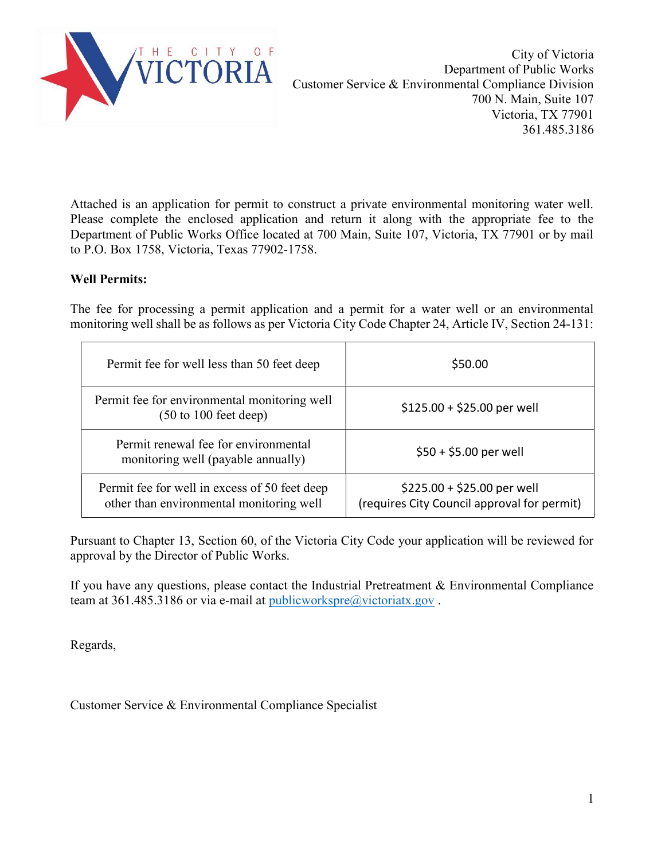

Attached is an application for permit to construct a private environmental monitoring water well. Please complete the enclosed application and return it along with the appropriate fee to the Department of Public Works Office located at 700 Main, Suite 107, Victoria, TX 77901 or by mail to P.O. Box 1758, Victoria, Texas 77902-1758.

## Well Permits:

The fee for processing a permit application and a permit for a water well or an environmental monitoring well shall be as follows as per Victoria City Code Chapter 24, Article IV, Section 24-131:

| Permit fee for well less than 50 feet deep                                                | \$50.00                                                                    |
|-------------------------------------------------------------------------------------------|----------------------------------------------------------------------------|
| Permit fee for environmental monitoring well<br>$(50 \text{ to } 100 \text{ feet deep})$  | $$125.00 + $25.00$ per well                                                |
| Permit renewal fee for environmental<br>monitoring well (payable annually)                | $$50 + $5.00$ per well                                                     |
| Permit fee for well in excess of 50 feet deep<br>other than environmental monitoring well | $$225.00 + $25.00$ per well<br>(requires City Council approval for permit) |

Pursuant to Chapter 13, Section 60, of the Victoria City Code your application will be reviewed for approval by the Director of Public Works.

If you have any questions, please contact the Industrial Pretreatment & Environmental Compliance team at 361.485.3186 or via e-mail at publicworkspre@victoriatx.gov.

Regards,

Customer Service & Environmental Compliance Specialist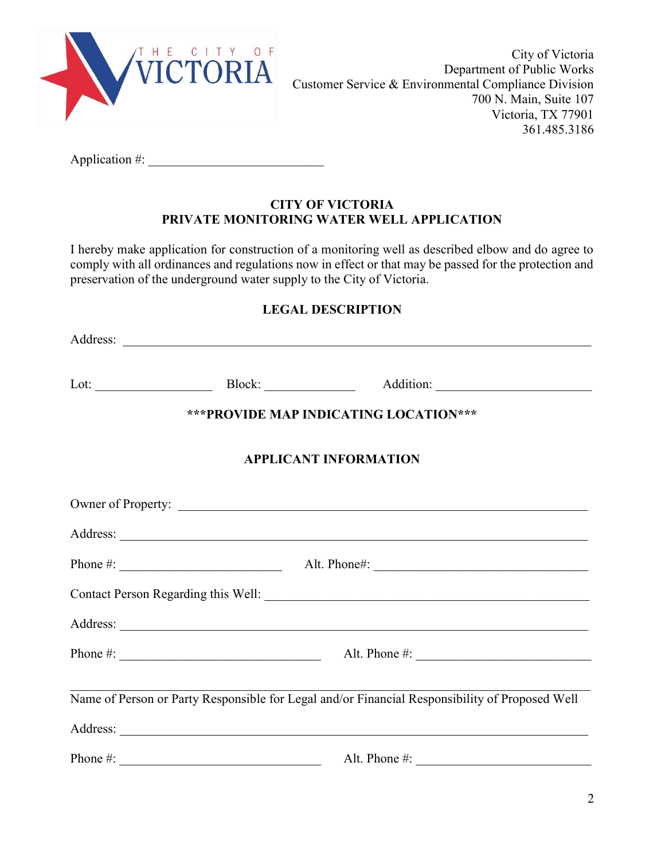

City of Victoria Department of Public Works Customer Service & Environmental Compliance Division 700 N. Main, Suite 107 Victoria, TX 77901 361.485.3186

Application  $\#$ :

## CITY OF VICTORIA PRIVATE MONITORING WATER WELL APPLICATION

I hereby make application for construction of a monitoring well as described elbow and do agree to comply with all ordinances and regulations now in effect or that may be passed for the protection and preservation of the underground water supply to the City of Victoria.

## LEGAL DESCRIPTION

| *** PROVIDE MAP INDICATING LOCATION***                                                         |  |                                               |  |  |
|------------------------------------------------------------------------------------------------|--|-----------------------------------------------|--|--|
| <b>APPLICANT INFORMATION</b>                                                                   |  |                                               |  |  |
|                                                                                                |  | Owner of Property:                            |  |  |
|                                                                                                |  |                                               |  |  |
|                                                                                                |  | Phone #: $\qquad \qquad \text{Alt. Phone}:$   |  |  |
|                                                                                                |  |                                               |  |  |
|                                                                                                |  |                                               |  |  |
|                                                                                                |  | Phone #: $\qquad \qquad$ Alt. Phone #:        |  |  |
| Name of Person or Party Responsible for Legal and/or Financial Responsibility of Proposed Well |  |                                               |  |  |
|                                                                                                |  |                                               |  |  |
|                                                                                                |  | Phone #: $\qquad \qquad \text{Alt. Phone #:}$ |  |  |